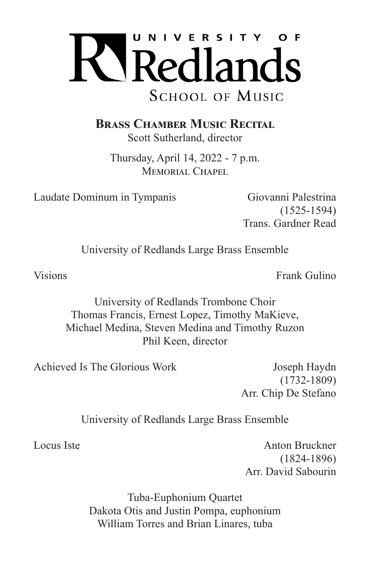

**Brass Chamber Music Recital**

Scott Sutherland, director

Thursday, April 14, 2022 - 7 p.m. MEMORIAL CHAPEL

Laudate Dominum in Tympanis Giovanni Palestrina

(1525-1594) Trans. Gardner Read

University of Redlands Large Brass Ensemble

Visions **Frank Gulino** 

University of Redlands Trombone Choir Thomas Francis, Ernest Lopez, Timothy MaKieve, Michael Medina, Steven Medina and Timothy Ruzon Phil Keen, director

Achieved Is The Glorious Work Joseph Haydn

(1732-1809) Arr. Chip De Stefano

University of Redlands Large Brass Ensemble

Locus Iste **Anton Bruckner** (1824-1896) Arr. David Sabourin

> Tuba-Euphonium Quartet Dakota Otis and Justin Pompa, euphonium William Torres and Brian Linares, tuba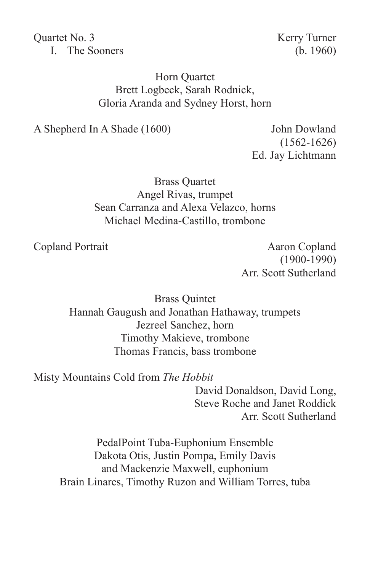Quartet No. 3 Kerry Turner I. The Sooners (b. 1960)

## Horn Quartet Brett Logbeck, Sarah Rodnick, Gloria Aranda and Sydney Horst, horn

A Shepherd In A Shade (1600) John Dowland

(1562-1626) Ed. Jay Lichtmann

Brass Quartet Angel Rivas, trumpet Sean Carranza and Alexa Velazco, horns Michael Medina-Castillo, trombone

Copland Portrait Aaron Copland (1900-1990) Arr. Scott Sutherland

> Brass Quintet Hannah Gaugush and Jonathan Hathaway, trumpets Jezreel Sanchez, horn Timothy Makieve, trombone Thomas Francis, bass trombone

Misty Mountains Cold from *The Hobbit*

David Donaldson, David Long, Steve Roche and Janet Roddick Arr. Scott Sutherland

PedalPoint Tuba-Euphonium Ensemble Dakota Otis, Justin Pompa, Emily Davis and Mackenzie Maxwell, euphonium Brain Linares, Timothy Ruzon and William Torres, tuba